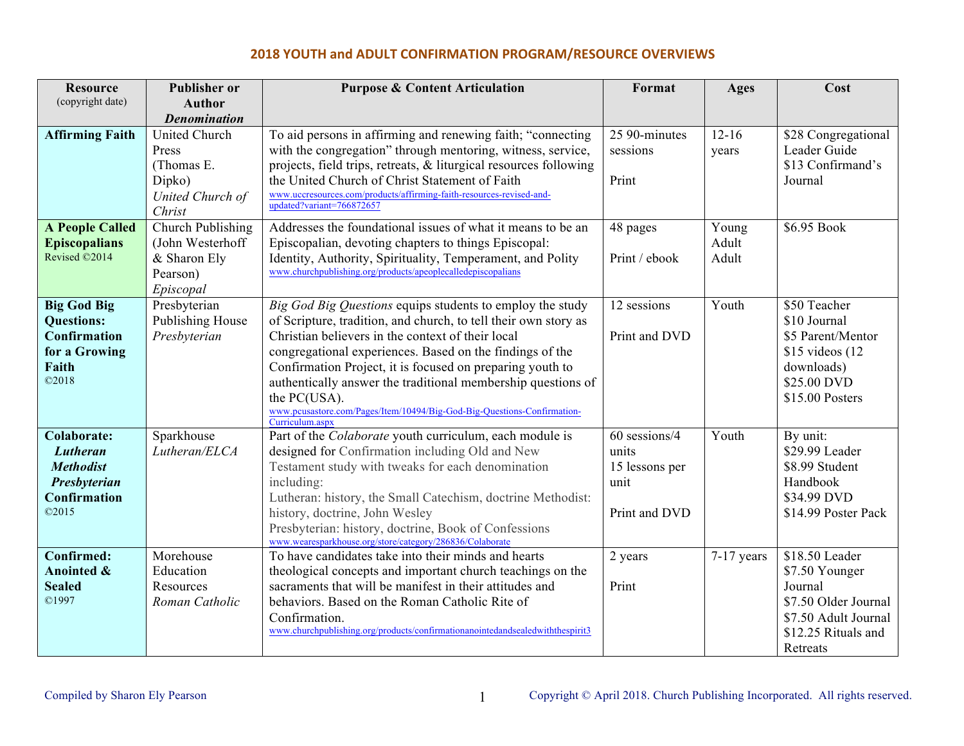| <b>Resource</b>                         | <b>Publisher or</b>              | <b>Purpose &amp; Content Articulation</b>                                                                                    | Format         | Ages       | Cost                            |
|-----------------------------------------|----------------------------------|------------------------------------------------------------------------------------------------------------------------------|----------------|------------|---------------------------------|
| (copyright date)                        | <b>Author</b>                    |                                                                                                                              |                |            |                                 |
|                                         | <b>Denomination</b>              |                                                                                                                              |                |            |                                 |
| <b>Affirming Faith</b>                  | <b>United Church</b>             | To aid persons in affirming and renewing faith; "connecting                                                                  | 25 90-minutes  | $12 - 16$  | \$28 Congregational             |
|                                         | Press                            | with the congregation" through mentoring, witness, service,                                                                  | sessions       | years      | Leader Guide                    |
|                                         | (Thomas E.<br>Dipko)             | projects, field trips, retreats, & liturgical resources following<br>the United Church of Christ Statement of Faith          | Print          |            | \$13 Confirmand's<br>Journal    |
|                                         | United Church of                 | www.uccresources.com/products/affirming-faith-resources-revised-and-                                                         |                |            |                                 |
|                                         | Christ                           | updated?variant=766872657                                                                                                    |                |            |                                 |
| <b>A People Called</b>                  | Church Publishing                | Addresses the foundational issues of what it means to be an                                                                  | 48 pages       | Young      | \$6.95 Book                     |
| <b>Episcopalians</b>                    | (John Westerhoff                 | Episcopalian, devoting chapters to things Episcopal:                                                                         |                | Adult      |                                 |
| Revised ©2014                           | & Sharon Ely                     | Identity, Authority, Spirituality, Temperament, and Polity                                                                   | Print / ebook  | Adult      |                                 |
|                                         | Pearson)                         | www.churchpublishing.org/products/apeoplecalledepiscopalians                                                                 |                |            |                                 |
|                                         | Episcopal                        |                                                                                                                              |                |            |                                 |
| <b>Big God Big</b><br><b>Questions:</b> | Presbyterian<br>Publishing House | Big God Big Questions equips students to employ the study<br>of Scripture, tradition, and church, to tell their own story as | 12 sessions    | Youth      | \$50 Teacher<br>\$10 Journal    |
| Confirmation                            | Presbyterian                     | Christian believers in the context of their local                                                                            | Print and DVD  |            | \$5 Parent/Mentor               |
| for a Growing                           |                                  | congregational experiences. Based on the findings of the                                                                     |                |            | $$15$ videos (12)               |
| Faith                                   |                                  | Confirmation Project, it is focused on preparing youth to                                                                    |                |            | downloads)                      |
| @2018                                   |                                  | authentically answer the traditional membership questions of                                                                 |                |            | \$25.00 DVD                     |
|                                         |                                  | the PC(USA).                                                                                                                 |                |            | \$15.00 Posters                 |
|                                         |                                  | www.pcusastore.com/Pages/Item/10494/Big-God-Big-Questions-Confirmation-<br>Curriculum.aspx                                   |                |            |                                 |
| <b>Colaborate:</b>                      | Sparkhouse                       | Part of the <i>Colaborate</i> youth curriculum, each module is                                                               | 60 sessions/4  | Youth      | By unit:                        |
| Lutheran                                | Lutheran/ELCA                    | designed for Confirmation including Old and New                                                                              | units          |            | \$29.99 Leader                  |
| <b>Methodist</b>                        |                                  | Testament study with tweaks for each denomination                                                                            | 15 lessons per |            | \$8.99 Student                  |
| Presbyterian                            |                                  | including:                                                                                                                   | unit           |            | Handbook                        |
| Confirmation                            |                                  | Lutheran: history, the Small Catechism, doctrine Methodist:                                                                  |                |            | \$34.99 DVD                     |
| ©2015                                   |                                  | history, doctrine, John Wesley                                                                                               | Print and DVD  |            | \$14.99 Poster Pack             |
|                                         |                                  | Presbyterian: history, doctrine, Book of Confessions<br>www.wearesparkhouse.org/store/category/286836/Colaborate             |                |            |                                 |
| <b>Confirmed:</b>                       | Morehouse                        | To have candidates take into their minds and hearts                                                                          | 2 years        | 7-17 years | \$18.50 Leader                  |
| Anointed &                              | Education                        | theological concepts and important church teachings on the                                                                   |                |            | \$7.50 Younger                  |
| <b>Sealed</b>                           | Resources                        | sacraments that will be manifest in their attitudes and                                                                      | Print          |            | Journal                         |
| ©1997                                   | Roman Catholic                   | behaviors. Based on the Roman Catholic Rite of                                                                               |                |            | \$7.50 Older Journal            |
|                                         |                                  | Confirmation.<br>www.churchpublishing.org/products/confirmationanointedandsealedwiththespirit3                               |                |            | \$7.50 Adult Journal            |
|                                         |                                  |                                                                                                                              |                |            | \$12.25 Rituals and<br>Retreats |
|                                         |                                  |                                                                                                                              |                |            |                                 |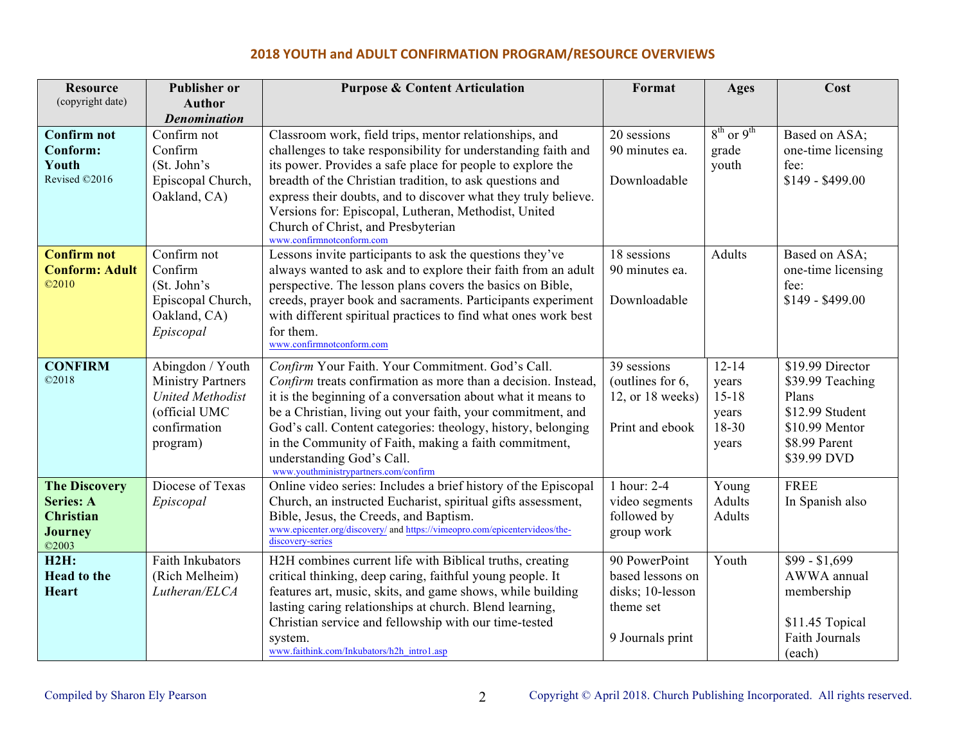| <b>Resource</b>                       | <b>Publisher or</b>              | <b>Purpose &amp; Content Articulation</b>                                                                                | Format                        | Ages                 | Cost                                |
|---------------------------------------|----------------------------------|--------------------------------------------------------------------------------------------------------------------------|-------------------------------|----------------------|-------------------------------------|
| (copyright date)                      | <b>Author</b>                    |                                                                                                                          |                               |                      |                                     |
| <b>Confirm not</b>                    | <b>Denomination</b>              |                                                                                                                          |                               | $8^{th}$ or $9^{th}$ |                                     |
| Conform:                              | Confirm not<br>Confirm           | Classroom work, field trips, mentor relationships, and<br>challenges to take responsibility for understanding faith and  | 20 sessions<br>90 minutes ea. | grade                | Based on ASA;<br>one-time licensing |
| Youth                                 | (St. John's                      | its power. Provides a safe place for people to explore the                                                               |                               | youth                | fee:                                |
| Revised ©2016                         | Episcopal Church,                | breadth of the Christian tradition, to ask questions and                                                                 | Downloadable                  |                      | $$149 - $499.00$                    |
|                                       | Oakland, CA)                     | express their doubts, and to discover what they truly believe.                                                           |                               |                      |                                     |
|                                       |                                  | Versions for: Episcopal, Lutheran, Methodist, United                                                                     |                               |                      |                                     |
|                                       |                                  | Church of Christ, and Presbyterian                                                                                       |                               |                      |                                     |
|                                       |                                  | www.confirmnotconform.com                                                                                                |                               |                      |                                     |
| <b>Confirm not</b>                    | Confirm not                      | Lessons invite participants to ask the questions they've                                                                 | 18 sessions                   | Adults               | Based on ASA;                       |
| <b>Conform: Adult</b><br>$\odot$ 2010 | Confirm                          | always wanted to ask and to explore their faith from an adult                                                            | 90 minutes ea.                |                      | one-time licensing                  |
|                                       | (St. John's<br>Episcopal Church, | perspective. The lesson plans covers the basics on Bible,<br>creeds, prayer book and sacraments. Participants experiment | Downloadable                  |                      | fee:<br>\$149 - \$499.00            |
|                                       | Oakland, CA)                     | with different spiritual practices to find what ones work best                                                           |                               |                      |                                     |
|                                       | Episcopal                        | for them.                                                                                                                |                               |                      |                                     |
|                                       |                                  | www.confirmnotconform.com                                                                                                |                               |                      |                                     |
| <b>CONFIRM</b>                        | Abingdon / Youth                 | Confirm Your Faith. Your Commitment. God's Call.                                                                         | 39 sessions                   | $12 - 14$            | \$19.99 Director                    |
| ©2018                                 | <b>Ministry Partners</b>         | Confirm treats confirmation as more than a decision. Instead,                                                            | (outlines for 6,              | years                | \$39.99 Teaching                    |
|                                       | <b>United Methodist</b>          | it is the beginning of a conversation about what it means to                                                             | $12$ , or $18$ weeks)         | $15 - 18$            | Plans                               |
|                                       | (official UMC                    | be a Christian, living out your faith, your commitment, and                                                              |                               | years                | \$12.99 Student                     |
|                                       | confirmation                     | God's call. Content categories: theology, history, belonging                                                             | Print and ebook               | 18-30                | \$10.99 Mentor                      |
|                                       | program)                         | in the Community of Faith, making a faith commitment,                                                                    |                               | years                | \$8.99 Parent                       |
|                                       |                                  | understanding God's Call.<br>www.youthministrypartners.com/confirm                                                       |                               |                      | \$39.99 DVD                         |
| <b>The Discovery</b>                  | Diocese of Texas                 | Online video series: Includes a brief history of the Episcopal                                                           | 1 hour: 2-4                   | Young                | <b>FREE</b>                         |
| <b>Series: A</b>                      | Episcopal                        | Church, an instructed Eucharist, spiritual gifts assessment,                                                             | video segments                | Adults               | In Spanish also                     |
| <b>Christian</b>                      |                                  | Bible, Jesus, the Creeds, and Baptism.                                                                                   | followed by                   | Adults               |                                     |
| <b>Journey</b><br>©2003               |                                  | www.epicenter.org/discovery/ and https://vimeopro.com/epicentervideos/the-<br>discovery-series                           | group work                    |                      |                                     |
| H2H:                                  | Faith Inkubators                 | H2H combines current life with Biblical truths, creating                                                                 | 90 PowerPoint                 | Youth                | $$99 - $1,699$                      |
| <b>Head to the</b>                    | (Rich Melheim)                   | critical thinking, deep caring, faithful young people. It                                                                | based lessons on              |                      | AWWA annual                         |
| <b>Heart</b>                          | Lutheran/ELCA                    | features art, music, skits, and game shows, while building                                                               | disks; 10-lesson              |                      | membership                          |
|                                       |                                  | lasting caring relationships at church. Blend learning,                                                                  | theme set                     |                      |                                     |
|                                       |                                  | Christian service and fellowship with our time-tested                                                                    |                               |                      | \$11.45 Topical                     |
|                                       |                                  | system.                                                                                                                  | 9 Journals print              |                      | Faith Journals                      |
|                                       |                                  | www.faithink.com/Inkubators/h2h_intro1.asp                                                                               |                               |                      | (each)                              |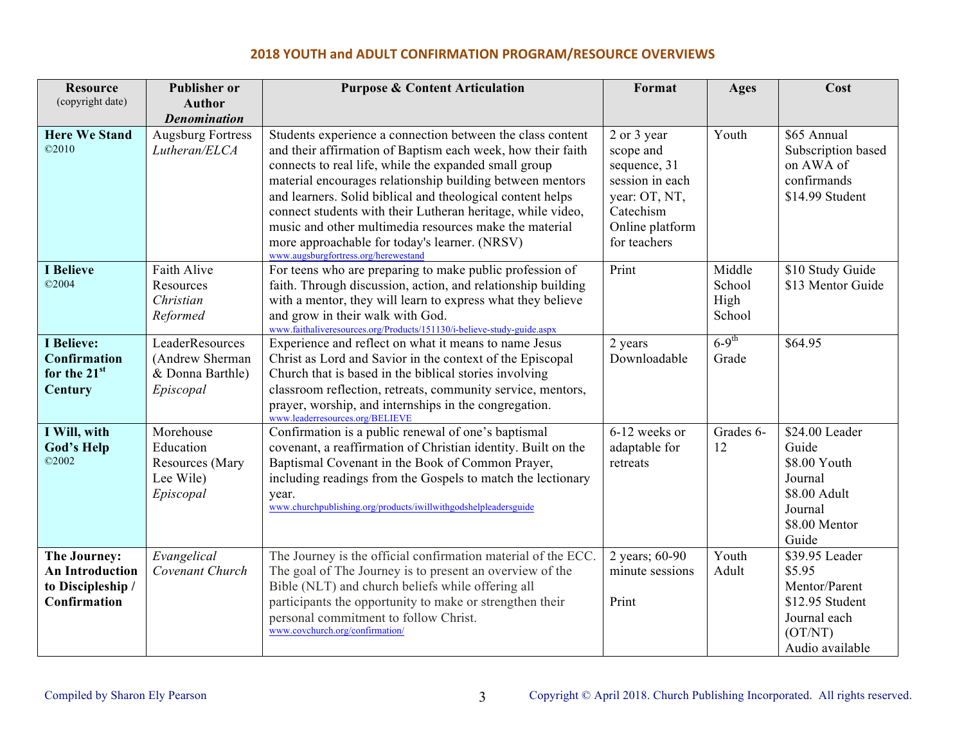| <b>Resource</b>                                                             | <b>Publisher or</b>                                                 | <b>Purpose &amp; Content Articulation</b>                                                                                                                                                                                                                                                                                                                                                                                                                                                                                       | Format                                                                                                                       | Ages                               | Cost                                                                                                       |
|-----------------------------------------------------------------------------|---------------------------------------------------------------------|---------------------------------------------------------------------------------------------------------------------------------------------------------------------------------------------------------------------------------------------------------------------------------------------------------------------------------------------------------------------------------------------------------------------------------------------------------------------------------------------------------------------------------|------------------------------------------------------------------------------------------------------------------------------|------------------------------------|------------------------------------------------------------------------------------------------------------|
| (copyright date)                                                            | <b>Author</b>                                                       |                                                                                                                                                                                                                                                                                                                                                                                                                                                                                                                                 |                                                                                                                              |                                    |                                                                                                            |
|                                                                             | <b>Denomination</b>                                                 |                                                                                                                                                                                                                                                                                                                                                                                                                                                                                                                                 |                                                                                                                              |                                    |                                                                                                            |
| <b>Here We Stand</b><br>@2010                                               | <b>Augsburg Fortress</b><br>Lutheran/ELCA                           | Students experience a connection between the class content<br>and their affirmation of Baptism each week, how their faith<br>connects to real life, while the expanded small group<br>material encourages relationship building between mentors<br>and learners. Solid biblical and theological content helps<br>connect students with their Lutheran heritage, while video,<br>music and other multimedia resources make the material<br>more approachable for today's learner. (NRSV)<br>www.augsburgfortress.org/herewestand | 2 or 3 year<br>scope and<br>sequence, 31<br>session in each<br>year: OT, NT,<br>Catechism<br>Online platform<br>for teachers | Youth                              | \$65 Annual<br>Subscription based<br>on AWA of<br>confirmands<br>\$14.99 Student                           |
| <b>I</b> Believe<br>$\oslash$ 2004                                          | Faith Alive<br>Resources<br>Christian<br>Reformed                   | For teens who are preparing to make public profession of<br>faith. Through discussion, action, and relationship building<br>with a mentor, they will learn to express what they believe<br>and grow in their walk with God.<br>www.faithaliveresources.org/Products/151130/i-believe-study-guide.aspx                                                                                                                                                                                                                           | Print                                                                                                                        | Middle<br>School<br>High<br>School | \$10 Study Guide<br>\$13 Mentor Guide                                                                      |
| <b>I</b> Believe:<br>Confirmation<br>for the 21st<br>Century                | LeaderResources<br>(Andrew Sherman<br>& Donna Barthle)<br>Episcopal | Experience and reflect on what it means to name Jesus<br>Christ as Lord and Savior in the context of the Episcopal<br>Church that is based in the biblical stories involving<br>classroom reflection, retreats, community service, mentors,<br>prayer, worship, and internships in the congregation.<br>www.leaderresources.org/BELIEVE                                                                                                                                                                                         | 2 years<br>Downloadable                                                                                                      | $6-9$ <sup>th</sup><br>Grade       | \$64.95                                                                                                    |
| I Will, with<br><b>God's Help</b><br>©2002                                  | Morehouse<br>Education<br>Resources (Mary<br>Lee Wile)<br>Episcopal | Confirmation is a public renewal of one's baptismal<br>covenant, a reaffirmation of Christian identity. Built on the<br>Baptismal Covenant in the Book of Common Prayer,<br>including readings from the Gospels to match the lectionary<br>year.<br>www.churchpublishing.org/products/iwillwithgodshelpleadersguide                                                                                                                                                                                                             | 6-12 weeks or<br>adaptable for<br>retreats                                                                                   | Grades 6-<br>12                    | \$24.00 Leader<br>Guide<br>\$8.00 Youth<br>Journal<br>\$8.00 Adult<br>Journal<br>\$8.00 Mentor<br>Guide    |
| The Journey:<br><b>An Introduction</b><br>to Discipleship /<br>Confirmation | Evangelical<br>Covenant Church                                      | The Journey is the official confirmation material of the ECC.<br>The goal of The Journey is to present an overview of the<br>Bible (NLT) and church beliefs while offering all<br>participants the opportunity to make or strengthen their<br>personal commitment to follow Christ.<br>www.covchurch.org/confirmation/                                                                                                                                                                                                          | 2 years; 60-90<br>minute sessions<br>Print                                                                                   | Youth<br>Adult                     | \$39.95 Leader<br>\$5.95<br>Mentor/Parent<br>\$12.95 Student<br>Journal each<br>(OT/NT)<br>Audio available |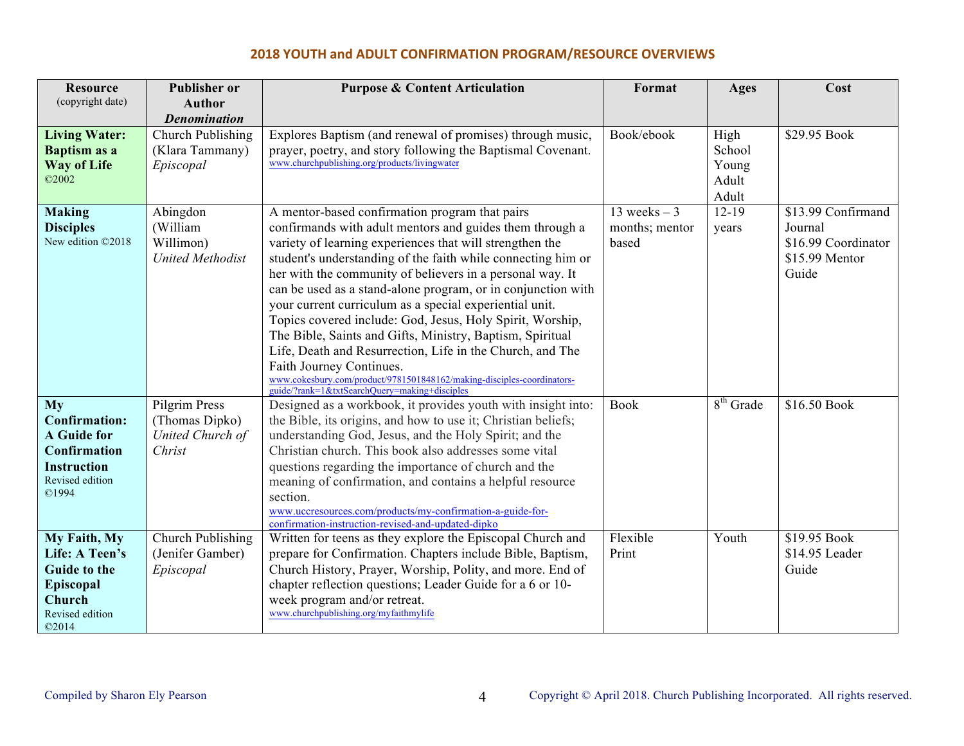| <b>Resource</b>                    | <b>Publisher or</b>          | <b>Purpose &amp; Content Articulation</b>                                                                               | Format         | <b>Ages</b>     | Cost                |
|------------------------------------|------------------------------|-------------------------------------------------------------------------------------------------------------------------|----------------|-----------------|---------------------|
| (copyright date)                   | <b>Author</b>                |                                                                                                                         |                |                 |                     |
|                                    | <b>Denomination</b>          |                                                                                                                         |                |                 |                     |
| <b>Living Water:</b>               | Church Publishing            | Explores Baptism (and renewal of promises) through music,                                                               | Book/ebook     | High            | \$29.95 Book        |
| Baptism as a<br><b>Way of Life</b> | (Klara Tammany)<br>Episcopal | prayer, poetry, and story following the Baptismal Covenant.<br>www.churchpublishing.org/products/livingwater            |                | School<br>Young |                     |
| ©2002                              |                              |                                                                                                                         |                | Adult           |                     |
|                                    |                              |                                                                                                                         |                | Adult           |                     |
| <b>Making</b>                      | Abingdon                     | A mentor-based confirmation program that pairs                                                                          | 13 weeks $-3$  | $12-19$         | \$13.99 Confirmand  |
| <b>Disciples</b>                   | (William                     | confirmands with adult mentors and guides them through a                                                                | months; mentor | years           | Journal             |
| New edition ©2018                  | Willimon)                    | variety of learning experiences that will strengthen the                                                                | based          |                 | \$16.99 Coordinator |
|                                    | <b>United Methodist</b>      | student's understanding of the faith while connecting him or                                                            |                |                 | \$15.99 Mentor      |
|                                    |                              | her with the community of believers in a personal way. It                                                               |                |                 | Guide               |
|                                    |                              | can be used as a stand-alone program, or in conjunction with                                                            |                |                 |                     |
|                                    |                              | your current curriculum as a special experiential unit.                                                                 |                |                 |                     |
|                                    |                              | Topics covered include: God, Jesus, Holy Spirit, Worship,                                                               |                |                 |                     |
|                                    |                              | The Bible, Saints and Gifts, Ministry, Baptism, Spiritual                                                               |                |                 |                     |
|                                    |                              | Life, Death and Resurrection, Life in the Church, and The                                                               |                |                 |                     |
|                                    |                              | Faith Journey Continues.                                                                                                |                |                 |                     |
|                                    |                              | www.cokesbury.com/product/9781501848162/making-disciples-coordinators-<br>guide/?rank=1&txtSearchQuery=making+disciples |                |                 |                     |
| My                                 | Pilgrim Press                | Designed as a workbook, it provides youth with insight into:                                                            | <b>Book</b>    | $8th$ Grade     | \$16.50 Book        |
| <b>Confirmation:</b>               | (Thomas Dipko)               | the Bible, its origins, and how to use it; Christian beliefs;                                                           |                |                 |                     |
| <b>A</b> Guide for                 | United Church of             | understanding God, Jesus, and the Holy Spirit; and the                                                                  |                |                 |                     |
| <b>Confirmation</b>                | Christ                       | Christian church. This book also addresses some vital                                                                   |                |                 |                     |
| <b>Instruction</b>                 |                              | questions regarding the importance of church and the                                                                    |                |                 |                     |
| Revised edition                    |                              | meaning of confirmation, and contains a helpful resource                                                                |                |                 |                     |
| ©1994                              |                              | section.                                                                                                                |                |                 |                     |
|                                    |                              | www.uccresources.com/products/my-confirmation-a-guide-for-                                                              |                |                 |                     |
| My Faith, My                       | Church Publishing            | confirmation-instruction-revised-and-updated-dipko<br>Written for teens as they explore the Episcopal Church and        | Flexible       | Youth           | \$19.95 Book        |
| Life: A Teen's                     | (Jenifer Gamber)             | prepare for Confirmation. Chapters include Bible, Baptism,                                                              | Print          |                 | \$14.95 Leader      |
| <b>Guide to the</b>                | Episcopal                    | Church History, Prayer, Worship, Polity, and more. End of                                                               |                |                 | Guide               |
| Episcopal                          |                              | chapter reflection questions; Leader Guide for a 6 or 10-                                                               |                |                 |                     |
| Church                             |                              | week program and/or retreat.                                                                                            |                |                 |                     |
| Revised edition                    |                              | www.churchpublishing.org/myfaithmylife                                                                                  |                |                 |                     |
| @2014                              |                              |                                                                                                                         |                |                 |                     |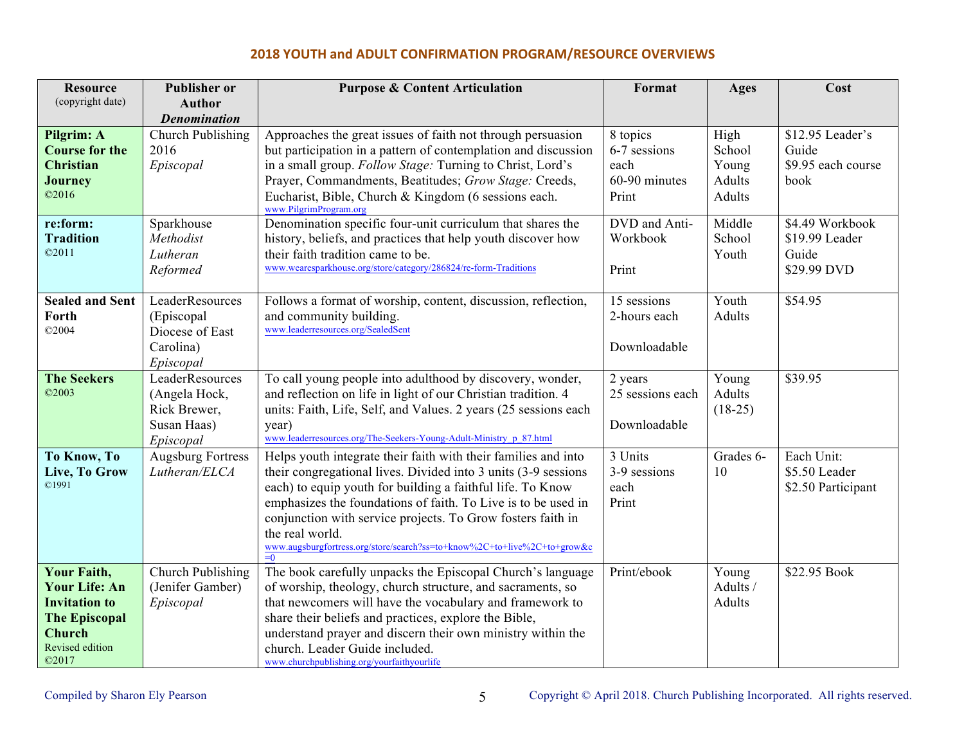| <b>Resource</b>        | <b>Publisher or</b>      | <b>Purpose &amp; Content Articulation</b>                                         | Format           | <b>Ages</b> | Cost               |
|------------------------|--------------------------|-----------------------------------------------------------------------------------|------------------|-------------|--------------------|
| (copyright date)       | Author                   |                                                                                   |                  |             |                    |
|                        | <b>Denomination</b>      |                                                                                   |                  |             |                    |
| Pilgrim: A             | Church Publishing        | Approaches the great issues of faith not through persuasion                       | 8 topics         | High        | \$12.95 Leader's   |
| <b>Course for the</b>  | 2016                     | but participation in a pattern of contemplation and discussion                    | 6-7 sessions     | School      | Guide              |
| <b>Christian</b>       | Episcopal                | in a small group. Follow Stage: Turning to Christ, Lord's                         | each             | Young       | \$9.95 each course |
| <b>Journey</b>         |                          | Prayer, Commandments, Beatitudes; Grow Stage: Creeds,                             | 60-90 minutes    | Adults      | book               |
| @2016                  |                          | Eucharist, Bible, Church & Kingdom (6 sessions each.<br>www.PilgrimProgram.org    | Print            | Adults      |                    |
| re:form:               | Sparkhouse               | Denomination specific four-unit curriculum that shares the                        | DVD and Anti-    | Middle      | \$4.49 Workbook    |
| <b>Tradition</b>       | Methodist                | history, beliefs, and practices that help youth discover how                      | Workbook         | School      | \$19.99 Leader     |
| @2011                  | Lutheran                 | their faith tradition came to be.                                                 |                  | Youth       | Guide              |
|                        | Reformed                 | www.wearesparkhouse.org/store/category/286824/re-form-Traditions                  | Print            |             | \$29.99 DVD        |
|                        |                          |                                                                                   |                  |             |                    |
| <b>Sealed and Sent</b> | LeaderResources          | Follows a format of worship, content, discussion, reflection,                     | 15 sessions      | Youth       | \$54.95            |
| Forth                  | (Episcopal               | and community building.                                                           | 2-hours each     | Adults      |                    |
| ©2004                  | Diocese of East          | www.leaderresources.org/SealedSent                                                |                  |             |                    |
|                        | Carolina)                |                                                                                   | Downloadable     |             |                    |
|                        | Episcopal                |                                                                                   |                  |             |                    |
| <b>The Seekers</b>     | LeaderResources          | To call young people into adulthood by discovery, wonder,                         | 2 years          | Young       | \$39.95            |
| ©2003                  | (Angela Hock,            | and reflection on life in light of our Christian tradition. 4                     | 25 sessions each | Adults      |                    |
|                        | Rick Brewer,             | units: Faith, Life, Self, and Values. 2 years (25 sessions each                   |                  | $(18-25)$   |                    |
|                        | Susan Haas)              | year)                                                                             | Downloadable     |             |                    |
|                        | Episcopal                | www.leaderresources.org/The-Seekers-Young-Adult-Ministry p 87.html                |                  |             |                    |
| To Know, To            | <b>Augsburg Fortress</b> | Helps youth integrate their faith with their families and into                    | $3$ Units        | Grades 6-   | Each Unit:         |
| Live, To Grow          | Lutheran/ELCA            | their congregational lives. Divided into 3 units (3-9 sessions                    | 3-9 sessions     | 10          | \$5.50 Leader      |
| C1991                  |                          | each) to equip youth for building a faithful life. To Know                        | each             |             | \$2.50 Participant |
|                        |                          | emphasizes the foundations of faith. To Live is to be used in                     | Print            |             |                    |
|                        |                          | conjunction with service projects. To Grow fosters faith in                       |                  |             |                    |
|                        |                          | the real world.                                                                   |                  |             |                    |
|                        |                          | www.augsburgfortress.org/store/search?ss=to+know%2C+to+live%2C+to+grow&c<br>$= 0$ |                  |             |                    |
| <b>Your Faith,</b>     | Church Publishing        | The book carefully unpacks the Episcopal Church's language                        | Print/ebook      | Young       | \$22.95 Book       |
| <b>Your Life: An</b>   | (Jenifer Gamber)         | of worship, theology, church structure, and sacraments, so                        |                  | Adults /    |                    |
| <b>Invitation to</b>   | Episcopal                | that newcomers will have the vocabulary and framework to                          |                  | Adults      |                    |
| <b>The Episcopal</b>   |                          | share their beliefs and practices, explore the Bible,                             |                  |             |                    |
| <b>Church</b>          |                          | understand prayer and discern their own ministry within the                       |                  |             |                    |
| Revised edition        |                          | church. Leader Guide included.                                                    |                  |             |                    |
| ©2017                  |                          | www.churchpublishing.org/yourfaithyourlife                                        |                  |             |                    |